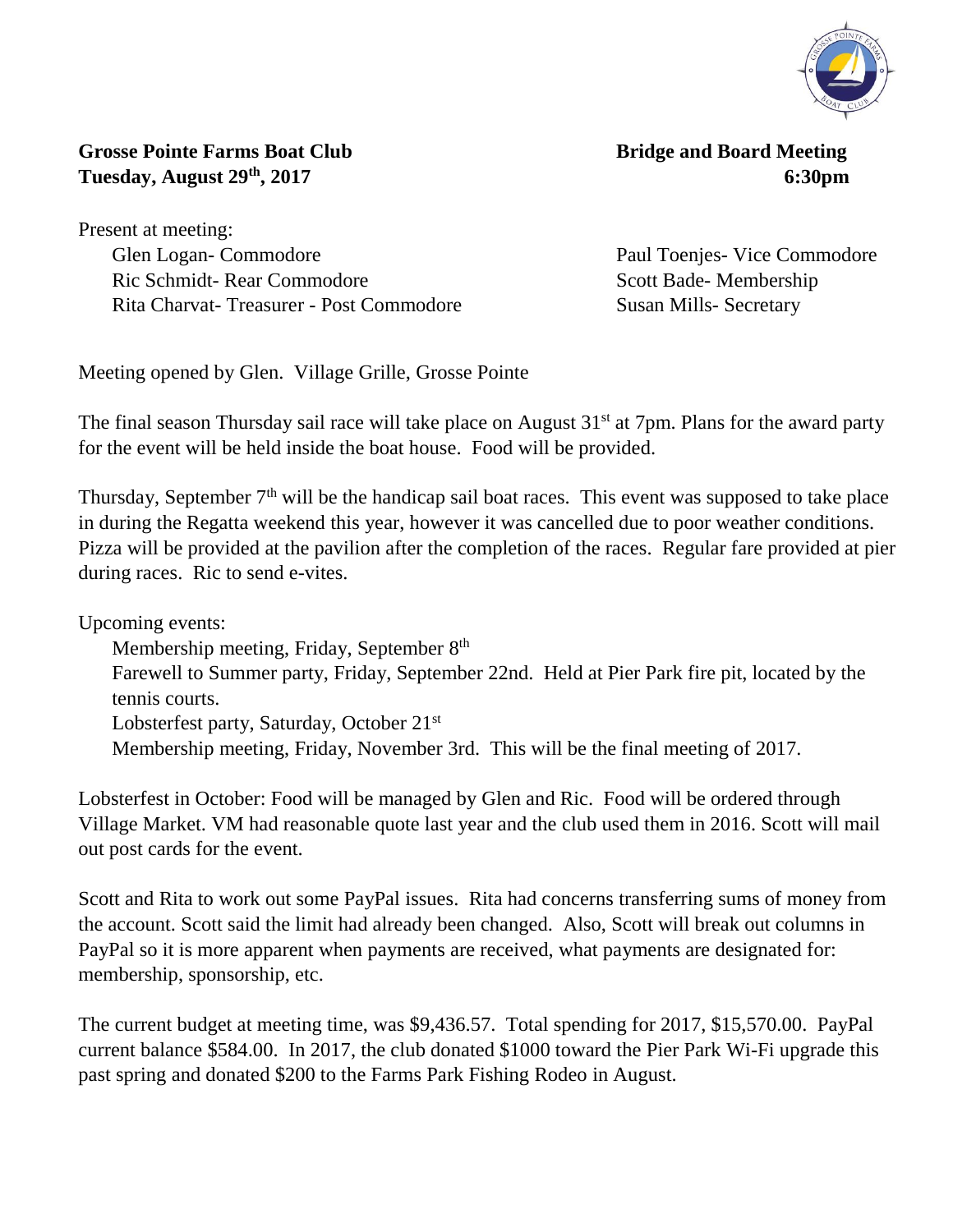

**, 2017 6:30pm**

**Grosse Pointe Farms Boat Club** Bridge and Board Meeting **Tuesday, August 29th**

Present at meeting: Glen Logan- Commodore Paul Toenjes- Vice Commodore Ric Schmidt- Rear Commodore Scott Bade- Membership Rita Charvat- Treasurer - Post Commodore Susan Mills- Secretary

Meeting opened by Glen. Village Grille, Grosse Pointe

The final season Thursday sail race will take place on August 31<sup>st</sup> at 7pm. Plans for the award party for the event will be held inside the boat house. Food will be provided.

Thursday, September 7<sup>th</sup> will be the handicap sail boat races. This event was supposed to take place in during the Regatta weekend this year, however it was cancelled due to poor weather conditions. Pizza will be provided at the pavilion after the completion of the races. Regular fare provided at pier during races. Ric to send e-vites.

Upcoming events:

Membership meeting, Friday, September 8<sup>th</sup>

Farewell to Summer party, Friday, September 22nd. Held at Pier Park fire pit, located by the tennis courts.

Lobsterfest party, Saturday, October 21<sup>st</sup>

Membership meeting, Friday, November 3rd. This will be the final meeting of 2017.

Lobsterfest in October: Food will be managed by Glen and Ric. Food will be ordered through Village Market. VM had reasonable quote last year and the club used them in 2016. Scott will mail out post cards for the event.

Scott and Rita to work out some PayPal issues. Rita had concerns transferring sums of money from the account. Scott said the limit had already been changed. Also, Scott will break out columns in PayPal so it is more apparent when payments are received, what payments are designated for: membership, sponsorship, etc.

The current budget at meeting time, was \$9,436.57. Total spending for 2017, \$15,570.00. PayPal current balance \$584.00. In 2017, the club donated \$1000 toward the Pier Park Wi-Fi upgrade this past spring and donated \$200 to the Farms Park Fishing Rodeo in August.